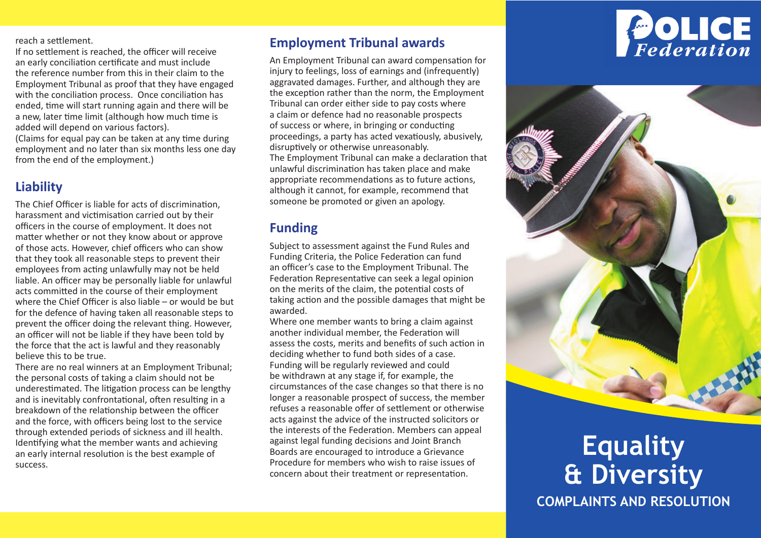reach a settlement.

If no settlement is reached, the officer will receive an early conciliation certificate and must include the reference number from this in their claim to the Employment Tribunal as proof that they have engaged with the conciliation process. Once conciliation has ended, time will start running again and there will be a new, later time limit (although how much time is added will depend on various factors).

(Claims for equal pay can be taken at any time during employment and no later than six months less one day from the end of the employment.)

## **Liability**

The Chief Officer is liable for acts of discrimination, harassment and victimisation carried out by their officers in the course of employment. It does not matter whether or not they know about or approve of those acts. However, chief officers who can show that they took all reasonable steps to prevent their employees from acting unlawfully may not be held liable. An officer may be personally liable for unlawful acts committed in the course of their employment where the Chief Officer is also liable – or would be but for the defence of having taken all reasonable steps to prevent the officer doing the relevant thing. However, an officer will not be liable if they have been told by the force that the act is lawful and they reasonably believe this to be true.

There are no real winners at an Employment Tribunal; the personal costs of taking a claim should not be underestimated. The litigation process can be lengthy and is inevitably confrontational, often resulting in a breakdown of the relationship between the officer and the force, with officers being lost to the service through extended periods of sickness and ill health. Identifying what the member wants and achieving an early internal resolution is the best example of success.

#### **Employment Tribunal awards**

An Employment Tribunal can award compensation for injury to feelings, loss of earnings and (infrequently) aggravated damages. Further, and although they are the exception rather than the norm, the Employment Tribunal can order either side to pay costs where a claim or defence had no reasonable prospects of success or where, in bringing or conducting proceedings, a party has acted vexatiously, abusively, disruptively or otherwise unreasonably. The Employment Tribunal can make a declaration that unlawful discrimination has taken place and make appropriate recommendations as to future actions, although it cannot, for example, recommend that someone be promoted or given an apology.

#### **Funding**

Subject to assessment against the Fund Rules and Funding Criteria, the Police Federation can fund an officer's case to the Employment Tribunal. The Federation Representative can seek a legal opinion on the merits of the claim, the potential costs of taking action and the possible damages that might be awarded.

Where one member wants to bring a claim against another individual member, the Federation will assess the costs, merits and benefits of such action in deciding whether to fund both sides of a case. Funding will be regularly reviewed and could be withdrawn at any stage if, for example, the circumstances of the case changes so that there is no longer a reasonable prospect of success, the member refuses a reasonable offer of settlement or otherwise acts against the advice of the instructed solicitors or the interests of the Federation. Members can appeal against legal funding decisions and Joint Branch Boards are encouraged to introduce a Grievance Procedure for members who wish to raise issues of concern about their treatment or representation.





# **Equality & Diversity COMPLAINTS AND RESOLUTION**